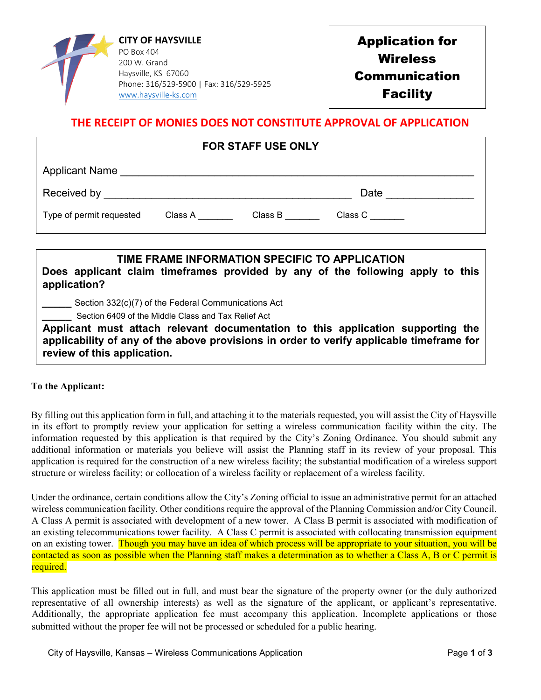

Application for **Wireless** Communication **Facility** 

## **THE RECEIPT OF MONIES DOES NOT CONSTITUTE APPROVAL OF APPLICATION**

| <b>FOR STAFF USE ONLY</b>                                                                                  |  |  |                                                |  |  |
|------------------------------------------------------------------------------------------------------------|--|--|------------------------------------------------|--|--|
| Applicant Name                                                                                             |  |  |                                                |  |  |
|                                                                                                            |  |  | Date                                           |  |  |
| Type of permit requested Class A Class B                                                                   |  |  | Class C                                        |  |  |
|                                                                                                            |  |  |                                                |  |  |
| Does applicant claim timeframes provided by any of the following apply to this<br>application?             |  |  | TIME FRAME INFORMATION SPECIFIC TO APPLICATION |  |  |
| Section 332(c)(7) of the Federal Communications Act<br>Section 6409 of the Middle Class and Tax Relief Act |  |  |                                                |  |  |

**Applicant must attach relevant documentation to this application supporting the applicability of any of the above provisions in order to verify applicable timeframe for review of this application.**

## **To the Applicant:**

By filling out this application form in full, and attaching it to the materials requested, you will assist the City of Haysville in its effort to promptly review your application for setting a wireless communication facility within the city. The information requested by this application is that required by the City's Zoning Ordinance. You should submit any additional information or materials you believe will assist the Planning staff in its review of your proposal. This application is required for the construction of a new wireless facility; the substantial modification of a wireless support structure or wireless facility; or collocation of a wireless facility or replacement of a wireless facility.

Under the ordinance, certain conditions allow the City's Zoning official to issue an administrative permit for an attached wireless communication facility. Other conditions require the approval of the Planning Commission and/or City Council. A Class A permit is associated with development of a new tower. A Class B permit is associated with modification of an existing telecommunications tower facility. A Class C permit is associated with collocating transmission equipment on an existing tower. Though you may have an idea of which process will be appropriate to your situation, you will be contacted as soon as possible when the Planning staff makes a determination as to whether a Class A, B or C permit is required.

This application must be filled out in full, and must bear the signature of the property owner (or the duly authorized representative of all ownership interests) as well as the signature of the applicant, or applicant's representative. Additionally, the appropriate application fee must accompany this application. Incomplete applications or those submitted without the proper fee will not be processed or scheduled for a public hearing.

City of Haysville, Kansas – Wireless Communications Application Page **1** of **3**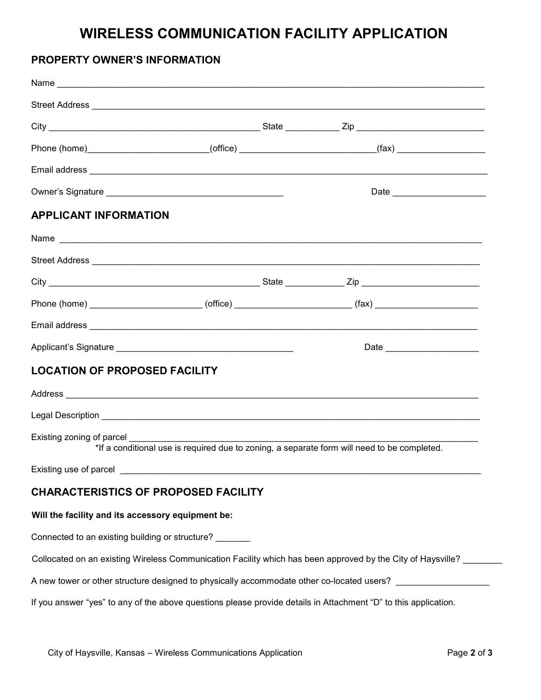# **WIRELESS COMMUNICATION FACILITY APPLICATION**

# **PROPERTY OWNER'S INFORMATION**

|                                                   | Phone (home)_________________________(office) _________________________(fax) _____________________              |
|---------------------------------------------------|-----------------------------------------------------------------------------------------------------------------|
|                                                   |                                                                                                                 |
|                                                   |                                                                                                                 |
| <b>APPLICANT INFORMATION</b>                      |                                                                                                                 |
|                                                   |                                                                                                                 |
|                                                   |                                                                                                                 |
|                                                   |                                                                                                                 |
|                                                   | Phone (home) _________________________(office) ________________________(fax) ______________________             |
|                                                   |                                                                                                                 |
|                                                   | Date _______________________                                                                                    |
| <b>LOCATION OF PROPOSED FACILITY</b>              |                                                                                                                 |
|                                                   |                                                                                                                 |
|                                                   |                                                                                                                 |
| Existing zoning of parcel                         | *If a conditional use is required due to zoning, a separate form will need to be completed.                     |
| Existing use of parcel _                          |                                                                                                                 |
| <b>CHARACTERISTICS OF PROPOSED FACILITY</b>       |                                                                                                                 |
| Will the facility and its accessory equipment be: |                                                                                                                 |
| Connected to an existing building or structure?   |                                                                                                                 |
|                                                   | Collocated on an existing Wireless Communication Facility which has been approved by the City of Haysville?     |
|                                                   | A new tower or other structure designed to physically accommodate other co-located users? ___________________   |
|                                                   | If you answer "yes" to any of the above questions please provide details in Attachment "D" to this application. |